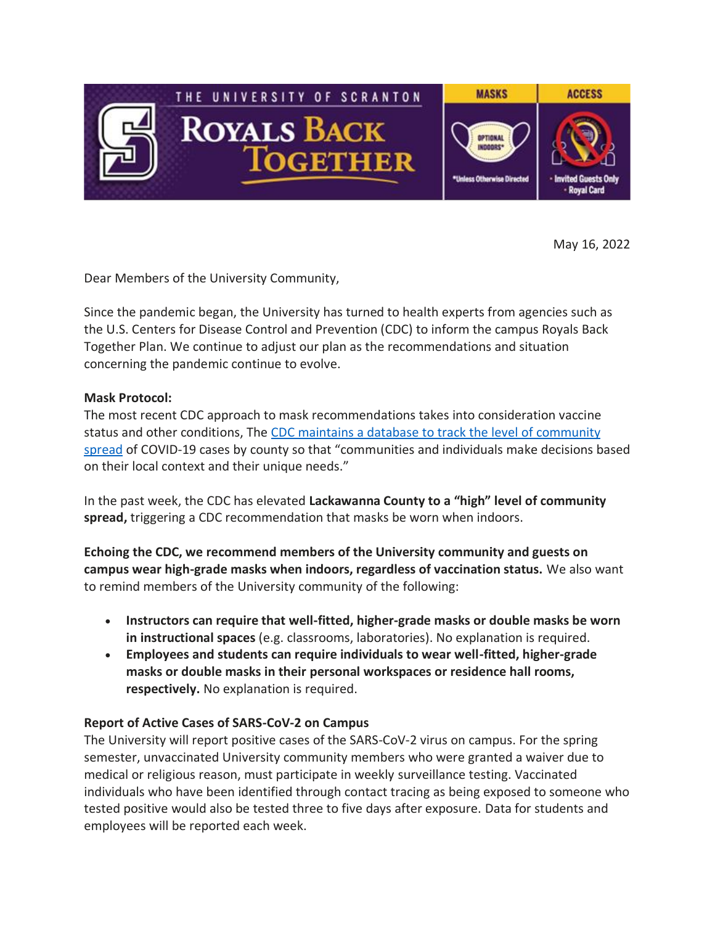

May 16, 2022

Dear Members of the University Community,

Since the pandemic began, the University has turned to health experts from agencies such as the U.S. Centers for Disease Control and Prevention (CDC) to inform the campus Royals Back Together Plan. We continue to adjust our plan as the recommendations and situation concerning the pandemic continue to evolve.

## **Mask Protocol:**

The most recent CDC approach to mask recommendations takes into consideration vaccine status and other conditions, The CDC maintains a database to track the level of [community](https://nam10.safelinks.protection.outlook.com/?url=https%3A%2F%2Fwww.cdc.gov%2Fcoronavirus%2F2019-ncov%2Fscience%2Fcommunity-levels.html&data=05%7C01%7Ckristin.durkin%40scranton.edu%7C6f261f92827b4b314cc708da3786ad72%7Ca8edc49a41f14c699768a7f6d7c3b8c3%7C0%7C0%7C637883348843641963%7CUnknown%7CTWFpbGZsb3d8eyJWIjoiMC4wLjAwMDAiLCJQIjoiV2luMzIiLCJBTiI6Ik1haWwiLCJXVCI6Mn0%3D%7C3000%7C%7C%7C&sdata=zO6vjMV5uU0FZpHMqPTmYSOLgC0sEs3lqMUt5I2RhtM%3D&reserved=0) [spread](https://nam10.safelinks.protection.outlook.com/?url=https%3A%2F%2Fwww.cdc.gov%2Fcoronavirus%2F2019-ncov%2Fscience%2Fcommunity-levels.html&data=05%7C01%7Ckristin.durkin%40scranton.edu%7C6f261f92827b4b314cc708da3786ad72%7Ca8edc49a41f14c699768a7f6d7c3b8c3%7C0%7C0%7C637883348843641963%7CUnknown%7CTWFpbGZsb3d8eyJWIjoiMC4wLjAwMDAiLCJQIjoiV2luMzIiLCJBTiI6Ik1haWwiLCJXVCI6Mn0%3D%7C3000%7C%7C%7C&sdata=zO6vjMV5uU0FZpHMqPTmYSOLgC0sEs3lqMUt5I2RhtM%3D&reserved=0) of COVID-19 cases by county so that "communities and individuals make decisions based on their local context and their unique needs."

In the past week, the CDC has elevated **Lackawanna County to a "high" level of community spread,** triggering a CDC recommendation that masks be worn when indoors.

**Echoing the CDC, we recommend members of the University community and guests on campus wear high-grade masks when indoors, regardless of vaccination status.** We also want to remind members of the University community of the following:

- **Instructors can require that well-fitted, higher-grade masks or double masks be worn in instructional spaces** (e.g. classrooms, laboratories). No explanation is required.
- **Employees and students can require individuals to wear well-fitted, higher-grade masks or double masks in their personal workspaces or residence hall rooms, respectively.** No explanation is required.

## **Report of Active Cases of SARS-CoV-2 on Campus**

The University will report positive cases of the SARS-CoV-2 virus on campus. For the spring semester, unvaccinated University community members who were granted a waiver due to medical or religious reason, must participate in weekly surveillance testing. Vaccinated individuals who have been identified through contact tracing as being exposed to someone who tested positive would also be tested three to five days after exposure. Data for students and employees will be reported each week.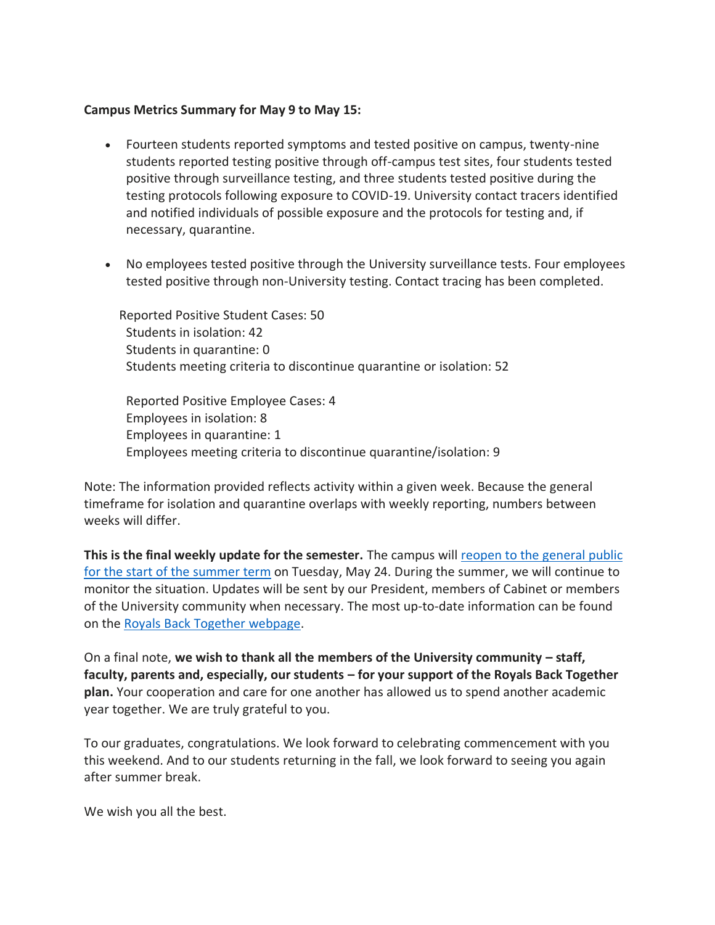## **Campus Metrics Summary for May 9 to May 15:**

- Fourteen students reported symptoms and tested positive on campus, twenty-nine students reported testing positive through off-campus test sites, four students tested positive through surveillance testing, and three students tested positive during the testing protocols following exposure to COVID-19. University contact tracers identified and notified individuals of possible exposure and the protocols for testing and, if necessary, quarantine.
- No employees tested positive through the University surveillance tests. Four employees tested positive through non-University testing. Contact tracing has been completed.

 Reported Positive Student Cases: 50 Students in isolation: 42 Students in quarantine: 0 Students meeting criteria to discontinue quarantine or isolation: 52

Reported Positive Employee Cases: 4 Employees in isolation: 8 Employees in quarantine: 1 Employees meeting criteria to discontinue quarantine/isolation: 9

Note: The information provided reflects activity within a given week. Because the general timeframe for isolation and quarantine overlaps with weekly reporting, numbers between weeks will differ.

**This is the final weekly update for the semester.** The campus will reopen to the [general](https://www.scranton.edu/royals-safe-together/assets/documents/protocols-summer-fall-2022.pdf) public for the start of the [summer](https://www.scranton.edu/royals-safe-together/assets/documents/protocols-summer-fall-2022.pdf) term on Tuesday, May 24. During the summer, we will continue to monitor the situation. Updates will be sent by our President, members of Cabinet or members of the University community when necessary. The most up-to-date information can be found on the Royals Back Together [webpage.](https://www.scranton.edu/royals-safe-together/index.shtml)

On a final note, **we wish to thank all the members of the University community – staff, faculty, parents and, especially, our students – for your support of the Royals Back Together plan.** Your cooperation and care for one another has allowed us to spend another academic year together. We are truly grateful to you.

To our graduates, congratulations. We look forward to celebrating commencement with you this weekend. And to our students returning in the fall, we look forward to seeing you again after summer break.

We wish you all the best.